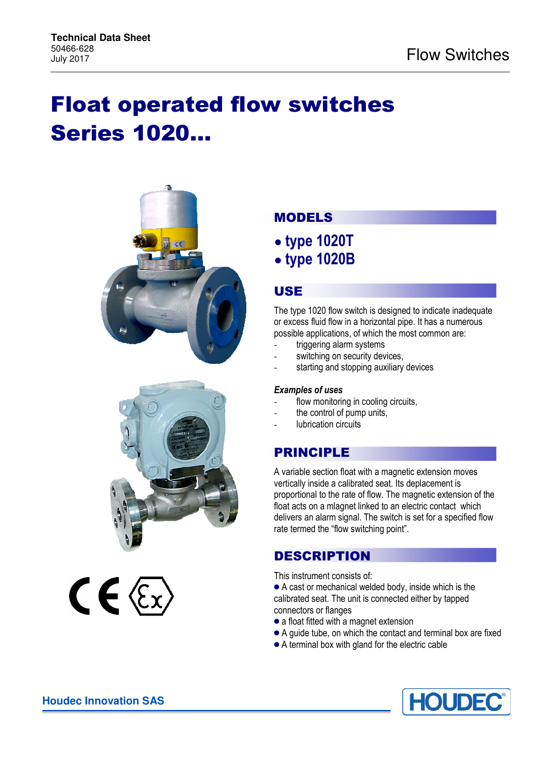## Float operated flow switches Series 1020…





# $C \in \mathbb{Z}$

## MODELS

- **type 1020T**
- **type 1020B**

## USE

The type 1020 flow switch is designed to indicate inadequate or excess fluid flow in a horizontal pipe. It has a numerous possible applications, of which the most common are:

- triggering alarm systems
- switching on security devices.
- starting and stopping auxiliary devices

#### *Examples of uses*

- flow monitoring in cooling circuits,
- the control of pump units,
- lubrication circuits

## PRINCIPLE

A variable section float with a magnetic extension moves vertically inside a calibrated seat. Its deplacement is proportional to the rate of flow. The magnetic extension of the float acts on a mlagnet linked to an electric contact which delivers an alarm signal. The switch is set for a specified flow rate termed the "flow switching point".

## DESCRIPTION

This instrument consists of:

- A cast or mechanical welded body, inside which is the calibrated seat. The unit is connected either by tapped connectors or flanges
- a float fitted with a magnet extension
- A guide tube, on which the contact and terminal box are fixed
- A terminal box with gland for the electric cable